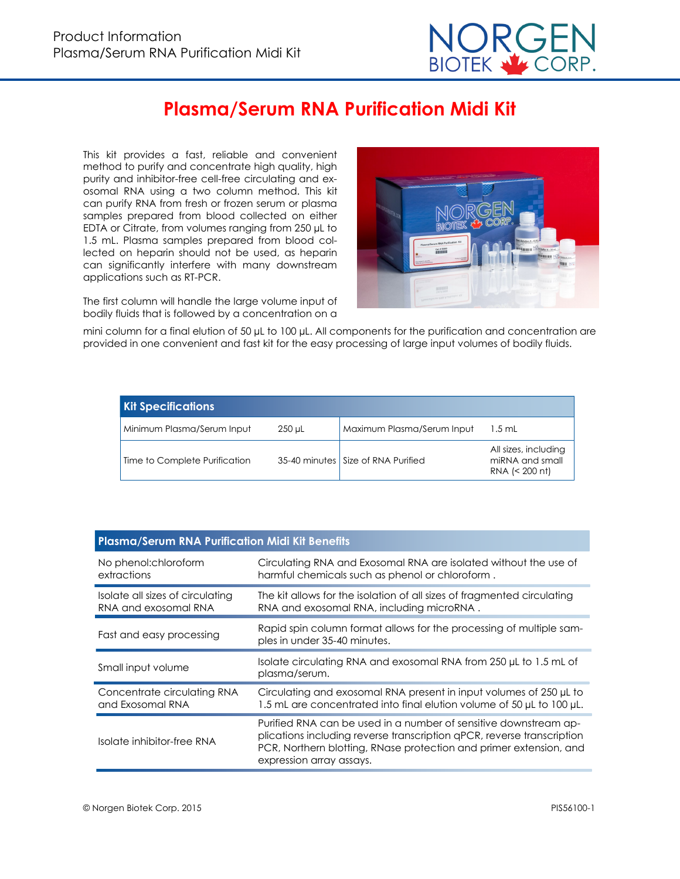

# **Plasma/Serum RNA Purification Midi Kit**

This kit provides a fast, reliable and convenient method to purify and concentrate high quality, high purity and inhibitor-free cell-free circulating and exosomal RNA using a two column method. This kit can purify RNA from fresh or frozen serum or plasma samples prepared from blood collected on either EDTA or Citrate, from volumes ranging from 250 µL to 1.5 mL. Plasma samples prepared from blood collected on heparin should not be used, as heparin can significantly interfere with many downstream applications such as RT-PCR.

The first column will handle the large volume input of bodily fluids that is followed by a concentration on a



mini column for a final elution of 50 µL to 100 µL. All components for the purification and concentration are provided in one convenient and fast kit for the easy processing of large input volumes of bodily fluids.

| <b>Kit Specifications</b>     |        |                                      |                                                             |
|-------------------------------|--------|--------------------------------------|-------------------------------------------------------------|
| Minimum Plasma/Serum Input    | 250 uL | Maximum Plasma/Serum Input           | $1.5$ mL                                                    |
| Time to Complete Purification |        | 35-40 minutes   Size of RNA Purified | All sizes, including<br>miRNA and small<br>RNA $(< 200$ nt) |

| <b>Plasma/Serum RNA Purification Midi Kit Benefits</b>   |                                                                                                                                                                                                                                              |  |  |  |
|----------------------------------------------------------|----------------------------------------------------------------------------------------------------------------------------------------------------------------------------------------------------------------------------------------------|--|--|--|
| No phenol:chloroform<br>extractions                      | Circulating RNA and Exosomal RNA are isolated without the use of<br>harmful chemicals such as phenol or chloroform.                                                                                                                          |  |  |  |
| Isolate all sizes of circulating<br>RNA and exosomal RNA | The kit allows for the isolation of all sizes of fragmented circulating<br>RNA and exosomal RNA, including microRNA.                                                                                                                         |  |  |  |
| Fast and easy processing                                 | Rapid spin column format allows for the processing of multiple sam-<br>ples in under 35-40 minutes.                                                                                                                                          |  |  |  |
| Small input volume                                       | Isolate circulating RNA and exosomal RNA from 250 µL to 1.5 mL of<br>plasma/serum.                                                                                                                                                           |  |  |  |
| Concentrate circulating RNA<br>and Exosomal RNA          | Circulating and exosomal RNA present in input volumes of 250 µL to<br>1.5 mL are concentrated into final elution volume of 50 µL to 100 µL.                                                                                                  |  |  |  |
| Isolate inhibitor-free RNA                               | Purified RNA can be used in a number of sensitive downstream ap-<br>plications including reverse transcription qPCR, reverse transcription<br>PCR, Northern blotting, RNase protection and primer extension, and<br>expression array assays. |  |  |  |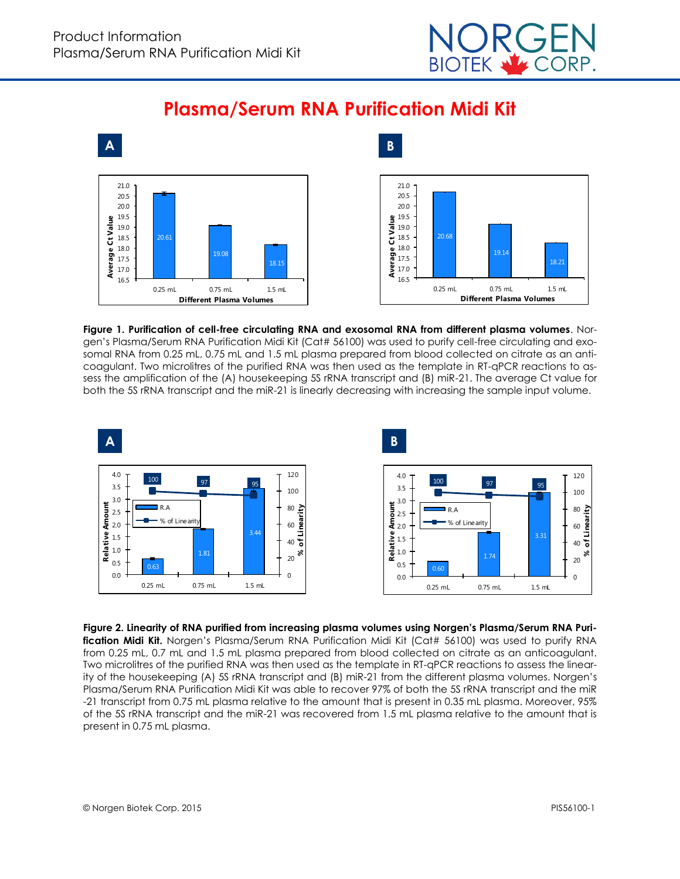







**Figure 1. Purification of cell-free circulating RNA and exosomal RNA from different plasma volumes**. Norgen's Plasma/Serum RNA Purification Midi Kit (Cat# 56100) was used to purify cell-free circulating and exosomal RNA from 0.25 mL, 0.75 mL and 1.5 mL plasma prepared from blood collected on citrate as an anticoagulant. Two microlitres of the purified RNA was then used as the template in RT-qPCR reactions to assess the amplification of the (A) housekeeping 5S rRNA transcript and (B) miR-21. The average Ct value for both the 5S rRNA transcript and the miR-21 is linearly decreasing with increasing the sample input volume.



**Figure 2. Linearity of RNA purified from increasing plasma volumes using Norgen's Plasma/Serum RNA Puri**fication Midi Kit. Norgen's Plasma/Serum RNA Purification Midi Kit (Cat# 56100) was used to purify RNA from 0.25 mL, 0.7 mL and 1.5 mL plasma prepared from blood collected on citrate as an anticoagulant. Two microlitres of the purified RNA was then used as the template in RT-qPCR reactions to assess the linearity of the housekeeping (A) 5S rRNA transcript and (B) miR-21 from the different plasma volumes. Norgen's Plasma/Serum RNA Purification Midi Kit was able to recover 97% of both the 5S rRNA transcript and the miR -21 transcript from 0.75 mL plasma relative to the amount that is present in 0.35 mL plasma. Moreover, 95% of the 5S rRNA transcript and the miR-21 was recovered from 1.5 mL plasma relative to the amount that is present in 0.75 mL plasma.